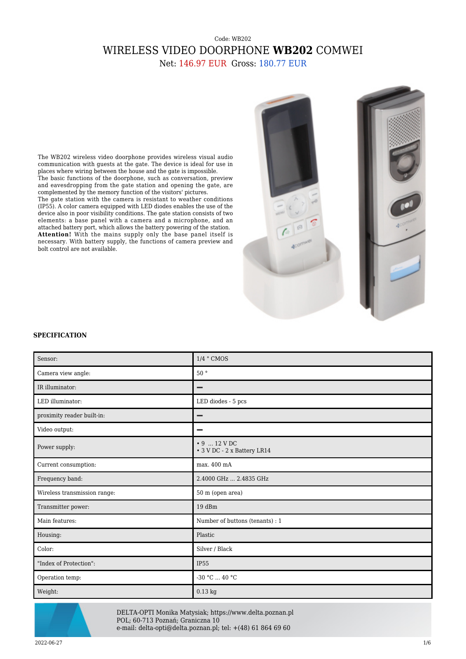## Code: WB202 WIRELESS VIDEO DOORPHONE **WB202** COMWEI

Net: 146.97 EUR Gross: 180.77 EUR

The WB202 wireless video doorphone provides wireless visual audio communication with guests at the gate. The device is ideal for use in places where wiring between the house and the gate is impossible. The basic functions of the doorphone, such as conversation, preview and eavesdropping from the gate station and opening the gate, are complemented by the memory function of the visitors' pictures. The gate station with the camera is resistant to weather conditions (IP55). A color camera equipped with LED diodes enables the use of the device also in poor visibility conditions. The gate station consists of two elements: a base panel with a camera and a microphone, and an attached battery port, which allows the battery powering of the station. **Attention!** With the mains supply only the base panel itself is necessary. With battery supply, the functions of camera preview and bolt control are not available.



## **SPECIFICATION**

| Sensor:                      | 1/4 " CMOS                                                |
|------------------------------|-----------------------------------------------------------|
| Camera view angle:           | 50°                                                       |
| IR illuminator:              |                                                           |
| LED illuminator:             | LED diodes - 5 pcs                                        |
| proximity reader built-in:   | –                                                         |
| Video output:                | −                                                         |
| Power supply:                | $\cdot$ 9  12 V DC<br>$\bullet$ 3 V DC - 2 x Battery LR14 |
| Current consumption:         | max. 400 mA                                               |
| Frequency band:              | 2.4000 GHz  2.4835 GHz                                    |
| Wireless transmission range: | 50 m (open area)                                          |
| Transmitter power:           | 19dBm                                                     |
| Main features:               | Number of buttons (tenants) : 1                           |
| Housing:                     | Plastic                                                   |
| Color:                       | Silver / Black                                            |
| "Index of Protection":       | <b>IP55</b>                                               |
| Operation temp:              | $-30$ °C $$ 40 °C                                         |
| Weight:                      | $0.13$ kg                                                 |



DELTA-OPTI Monika Matysiak; https://www.delta.poznan.pl POL; 60-713 Poznań; Graniczna 10 e-mail: delta-opti@delta.poznan.pl; tel: +(48) 61 864 69 60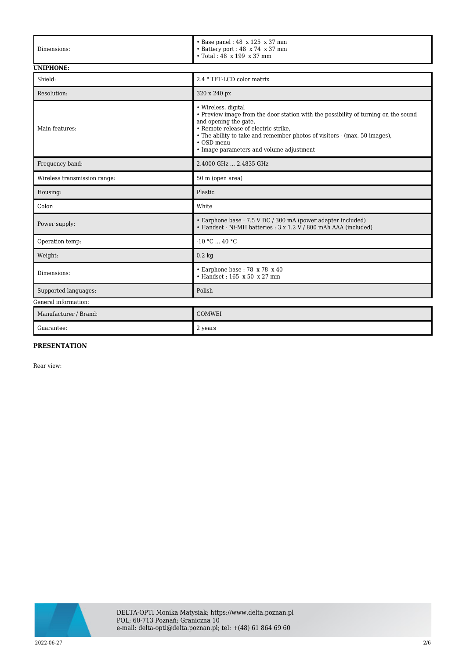| Dimensions:                  | $\cdot$ Base panel: 48 x 125 x 37 mm<br>• Battery port : 48 x 74 x 37 mm<br>• Total: 48 x 199 x 37 mm                                                                                                                                                                                                             |  |
|------------------------------|-------------------------------------------------------------------------------------------------------------------------------------------------------------------------------------------------------------------------------------------------------------------------------------------------------------------|--|
| <b>UNIPHONE:</b>             |                                                                                                                                                                                                                                                                                                                   |  |
| Shield:                      | 2.4 "TFT-LCD color matrix                                                                                                                                                                                                                                                                                         |  |
| Resolution:                  | 320 x 240 px                                                                                                                                                                                                                                                                                                      |  |
| Main features:               | • Wireless, digital<br>• Preview image from the door station with the possibility of turning on the sound<br>and opening the gate,<br>• Remote release of electric strike,<br>• The ability to take and remember photos of visitors - (max. 50 images),<br>• OSD menu<br>• Image parameters and volume adjustment |  |
| Frequency band:              | 2.4000 GHz  2.4835 GHz                                                                                                                                                                                                                                                                                            |  |
| Wireless transmission range: | 50 m (open area)                                                                                                                                                                                                                                                                                                  |  |
| Housing:                     | Plastic                                                                                                                                                                                                                                                                                                           |  |
| Color:                       | White                                                                                                                                                                                                                                                                                                             |  |
| Power supply:                | • Earphone base: 7.5 V DC / 300 mA (power adapter included)<br>• Handset - Ni-MH batteries : 3 x 1.2 V / 800 mAh AAA (included)                                                                                                                                                                                   |  |
| Operation temp:              | $-10 °C$ 40 °C                                                                                                                                                                                                                                                                                                    |  |
| Weight:                      | $0.2 \text{ kg}$                                                                                                                                                                                                                                                                                                  |  |
| Dimensions:                  | $\cdot$ Earphone base: 78 x 78 x 40<br>$\cdot$ Handset: 165 x 50 x 27 mm                                                                                                                                                                                                                                          |  |
| Supported languages:         | Polish                                                                                                                                                                                                                                                                                                            |  |
| General information:         |                                                                                                                                                                                                                                                                                                                   |  |
| Manufacturer / Brand:        | <b>COMWEI</b>                                                                                                                                                                                                                                                                                                     |  |
| Guarantee:                   | 2 years                                                                                                                                                                                                                                                                                                           |  |

## **PRESENTATION**

Rear view:

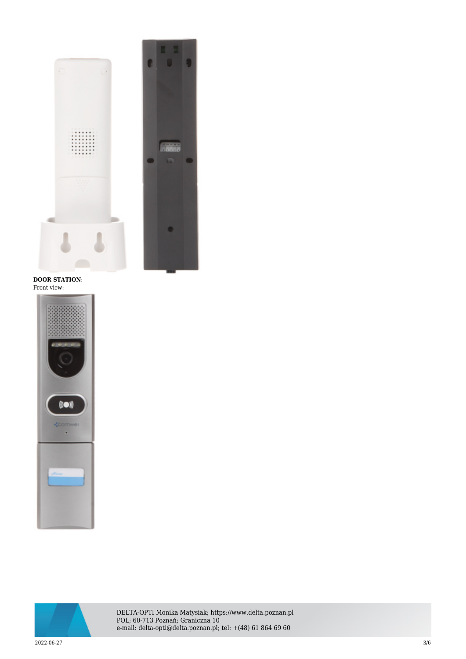

**DOOR STATION**: Front view:





DELTA-OPTI Monika Matysiak; https://www.delta.poznan.pl POL; 60-713 Poznań; Graniczna 10 e-mail: delta-opti@delta.poznan.pl; tel: +(48) 61 864 69 60

 $2022{\cdot}06{\cdot}27$  and  $3/6$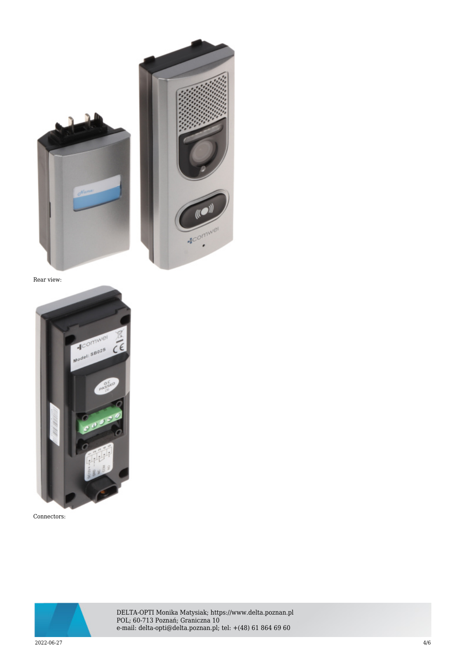



Rear view:



Connectors:



DELTA-OPTI Monika Matysiak; https://www.delta.poznan.pl POL; 60-713 Poznań; Graniczna 10 e-mail: delta-opti@delta.poznan.pl; tel: +(48) 61 864 69 60

 $2022{\cdot}06{\cdot}27$  and  $4/6$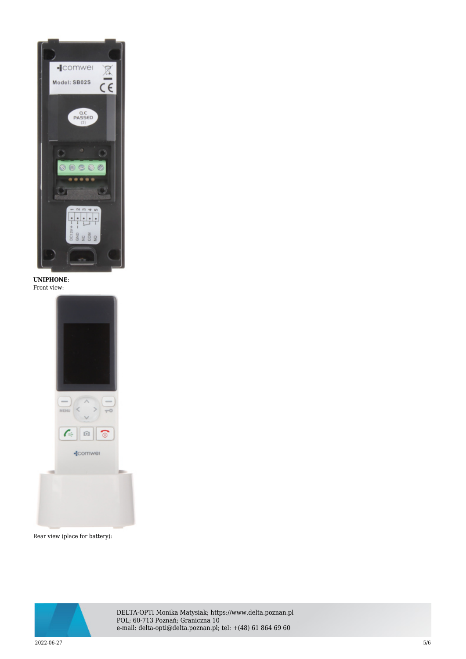

**UNIPHONE**: Front view:



Rear view (place for battery):



DELTA-OPTI Monika Matysiak; https://www.delta.poznan.pl POL; 60-713 Poznań; Graniczna 10 e-mail: delta-opti@delta.poznan.pl; tel: +(48) 61 864 69 60

 $2022$ -06-27  $5/6$